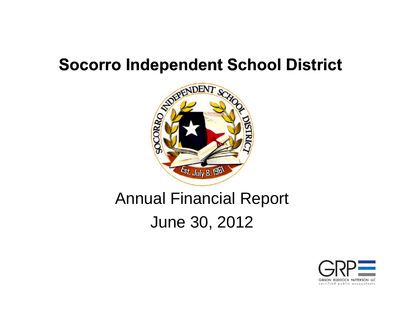## **Socorro Independent School District**



## Annual Financial Report June 30, 2012

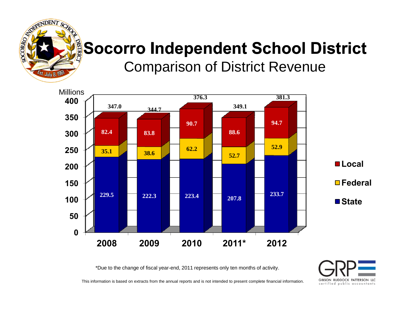

### **Socorro Independent School District** Comparison of District Revenue



\*Due to the change of fiscal year-end, 2011 represents only ten months of activity.

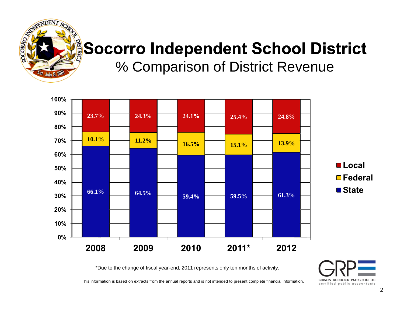

# **Socorro Independent School District**

% Comparison of District Revenue



\*Due to the change of fiscal year-end, 2011 represents only ten months of activity.

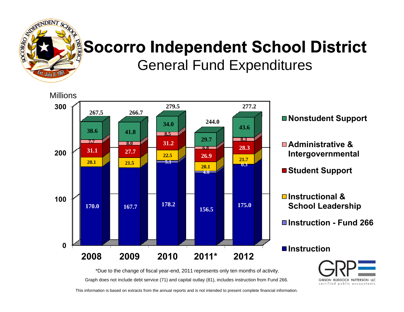

#### **Socorro Independent School District** General Fund Expenditures



Graph does not include debt service (71) and capital outlay (81), includes instruction from Fund 266. \*Due to the change of fiscal year-end, 2011 represents only ten months of activity.

GIBSON RUDDOCK PATTERSON LLC certified public accountants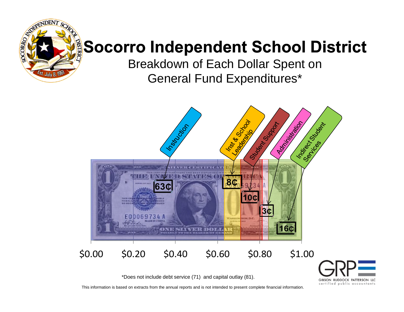

## **Socorro Independent School District**

Breakdown of Each Dollar Spent on General Fund Expenditures\*



GIBSON RUDDOCK PATTERSON LLC certified public accountants

\*Does not include debt service (71) and capital outlay (81).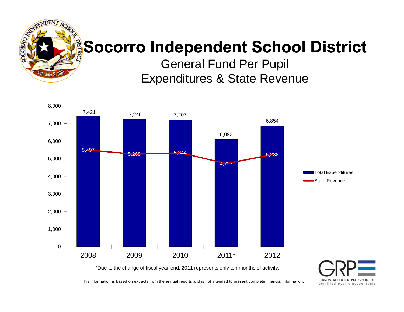

#### **Socorro Independent School District**

General Fund Per Pupil Expenditures & State Revenue



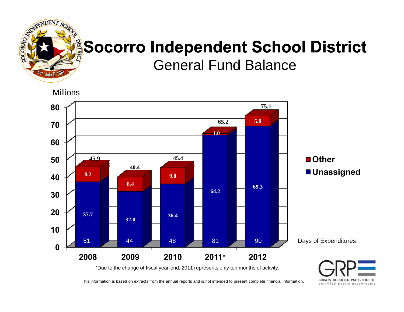

#### **Socorro Independent School District** General Fund Balance

**Millions** 



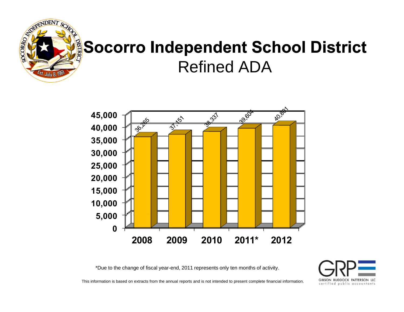

## **Socorro Independent School District** Refined ADA



\*Due to the change of fiscal year-end, 2011 represents only ten months of activity.